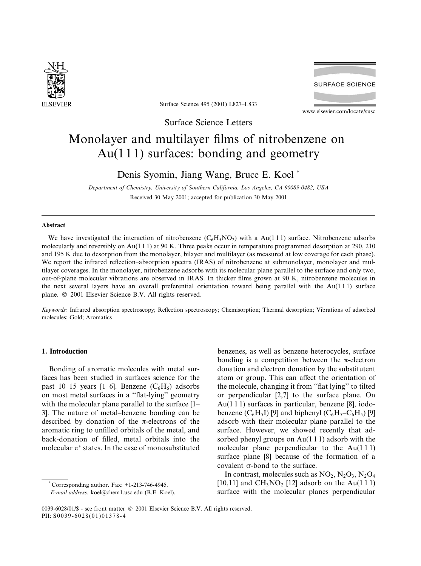

**SURFACE SCIENCE** 

Surface Science 495 (2001) L827-L833

www.elsevier.com/locate/susc

Surface Science Letters

# Monolayer and multilayer films of nitrobenzene on  $Au(111)$  surfaces: bonding and geometry

Denis Syomin, Jiang Wang, Bruce E. Koel\*

Department of Chemistry, University of Southern California, Los Angeles, CA 90089-0482, USA Received 30 May 2001; accepted for publication 30 May 2001

## **Abstract**

We have investigated the interaction of nitrobenzene  $(C_6H_5NO_2)$  with a Au(111) surface. Nitrobenzene adsorbs molecularly and reversibly on Au(111) at 90 K. Three peaks occur in temperature programmed desorption at 290, 210 and 195 K due to desorption from the monolayer, bilayer and multilayer (as measured at low coverage for each phase). We report the infrared reflection-absorption spectra (IRAS) of nitrobenzene at submonolayer, monolayer and multilayer coverages. In the monolayer, nitrobenzene adsorbs with its molecular plane parallel to the surface and only two, out-of-plane molecular vibrations are observed in IRAS. In thicker films grown at 90 K, nitrobenzene molecules in the next several layers have an overall preferential orientation toward being parallel with the  $Au(111)$  surface plane. © 2001 Elsevier Science B.V. All rights reserved.

Keywords: Infrared absorption spectroscopy; Reflection spectroscopy; Chemisorption; Thermal desorption; Vibrations of adsorbed molecules: Gold: Aromatics

## 1. Introduction

Bonding of aromatic molecules with metal surfaces has been studied in surfaces science for the past 10–15 years [1–6]. Benzene  $(C_6H_6)$  adsorbs on most metal surfaces in a "flat-lying" geometry with the molecular plane parallel to the surface [1– 3. The nature of metal-benzene bonding can be described by donation of the  $\pi$ -electrons of the aromatic ring to unfilled orbitals of the metal, and back-donation of filled, metal orbitals into the molecular  $\pi^*$  states. In the case of monosubstituted

Corresponding author. Fax:  $+1-213-746-4945$ .

benzenes, as well as benzene heterocycles, surface bonding is a competition between the  $\pi$ -electron donation and electron donation by the substitutent atom or group. This can affect the orientation of the molecule, changing it from "flat lying" to tilted or perpendicular [2,7] to the surface plane. On Au $(1 1 1)$  surfaces in particular, benzene [8], iodobenzene  $(C_6H_5I)$  [9] and biphenyl  $(C_6H_5-C_6H_5)$  [9] adsorb with their molecular plane parallel to the surface. However, we showed recently that adsorbed phenyl groups on  $Au(111)$  adsorb with the molecular plane perpendicular to the  $Au(111)$ surface plane [8] because of the formation of a covalent  $\sigma$ -bond to the surface.

In contrast, molecules such as  $NO_2$ ,  $N_2O_3$ ,  $N_2O_4$ [10,11] and  $CH_3NO_2$  [12] adsorb on the Au(111) surface with the molecular planes perpendicular

E-mail address: koel@chem1.usc.edu (B.E. Koel).

<sup>0039-6028/01/\$ -</sup> see front matter © 2001 Elsevier Science B.V. All rights reserved. PII: S0039-6028(01)01378-4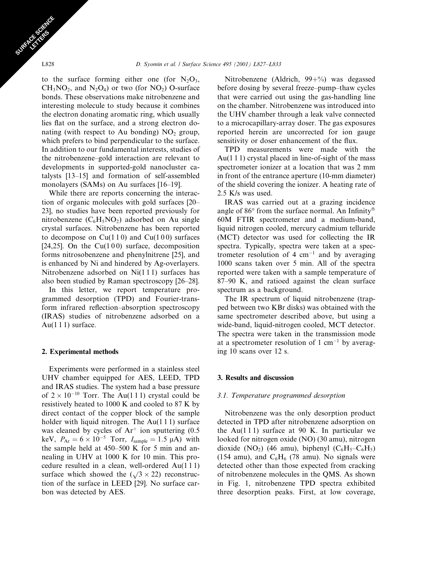to the surface forming either one (for  $N_2O_3$ ,  $CH<sub>3</sub>NO<sub>2</sub>$ , and N<sub>2</sub>O<sub>4</sub>) or two (for NO<sub>2</sub>) O-surface bonds. These observations make nitrobenzene and interesting molecule to study because it combines the electron donating aromatic ring, which usually lies flat on the surface, and a strong electron donating (with respect to Au bonding)  $NO<sub>2</sub>$  group, which prefers to bind perpendicular to the surface. In addition to our fundamental interests, studies of the nitrobenzene–gold interaction are relevant to developments in supported-gold nanocluster catalysts [13-15] and formation of self-assembled monolayers (SAMs) on Au surfaces [16–19].

While there are reports concerning the interaction of organic molecules with gold surfaces [20– 23], no studies have been reported previously for nitrobenzene  $(C_6H_5NO_2)$  adsorbed on Au single crystal surfaces. Nitrobenzene has been reported to decompose on  $Cu(110)$  and  $Cu(100)$  surfaces [24,25]. On the  $Cu(100)$  surface, decomposition forms nitrosobenzene and phenylnitrene [25], and is enhanced by Ni and hindered by Ag-overlayers. Nitrobenzene adsorbed on  $Ni(111)$  surfaces has also been studied by Raman spectroscopy [26–28].

In this letter, we report temperature programmed desorption (TPD) and Fourier-transform infrared reflection-absorption spectroscopy (IRAS) studies of nitrobenzene adsorbed on a  $Au(111)$  surface.

## 2. Experimental methods

Experiments were performed in a stainless steel UHV chamber equipped for AES, LEED, TPD and IRAS studies. The system had a base pressure of  $2 \times 10^{-10}$  Torr. The Au(111) crystal could be resistively heated to 1000 K and cooled to 87 K by direct contact of the copper block of the sample holder with liquid nitrogen. The  $Au(111)$  surface was cleaned by cycles of  $Ar^+$  ion sputtering  $(0.5$ keV,  $P_{Ar} = 6 \times 10^{-5}$  Torr,  $I_{sample} = 1.5 \mu A$ ) with the sample held at 450–500 K for 5 min and annealing in UHV at 1000 K for 10 min. This procedure resulted in a clean, well-ordered  $Au(111)$ surface which showed the  $(\sqrt{3} \times 22)$  reconstruction of the surface in LEED [29]. No surface carbon was detected by AES.

Nitrobenzene (Aldrich,  $99 + \%$ ) was degassed before dosing by several freeze-pump-thaw cycles that were carried out using the gas-handling line on the chamber. Nitrobenzene was introduced into the UHV chamber through a leak valve connected to a microcapillary-array doser. The gas exposures reported herein are uncorrected for ion gauge sensitivity or doser enhancement of the flux.

TPD measurements were made with the  $Au(111)$  crystal placed in line-of-sight of the mass spectrometer ionizer at a location that was 2 mm in front of the entrance aperture (10-mm diameter) of the shield covering the ionizer. A heating rate of 2.5 K/s was used.

IRAS was carried out at a grazing incidence angle of 86 $\degree$  from the surface normal. An Infinity  $\degree$ 60M FTIR spectrometer and a medium-band, liquid nitrogen cooled, mercury cadmium telluride (MCT) detector was used for collecting the IR spectra. Typically, spectra were taken at a spectrometer resolution of 4  $cm^{-1}$  and by averaging 1000 scans taken over 5 min. All of the spectra reported were taken with a sample temperature of 87–90 K, and ratioed against the clean surface spectrum as a background.

The IR spectrum of liquid nitrobenzene (trapped between two KBr disks) was obtained with the same spectrometer described above, but using a wide-band, liquid-nitrogen cooled, MCT detector. The spectra were taken in the transmission mode at a spectrometer resolution of  $1 \text{ cm}^{-1}$  by averaging 10 scans over 12 s.

## 3. Results and discussion

#### 3.1. Temperature programmed desorption

Nitrobenzene was the only desorption product detected in TPD after nitrobenzene adsorption on the Au(111) surface at 90 K. In particular we looked for nitrogen oxide (NO) (30 amu), nitrogen dioxide (NO<sub>2</sub>) (46 amu), biphenyl ( $C_6H_5-C_6H_5$ ) (154 amu), and  $C_6H_6$  (78 amu). No signals were detected other than those expected from cracking of nitrobenzene molecules in the QMS. As shown in Fig. 1, nitrobenzene TPD spectra exhibited three desorption peaks. First, at low coverage,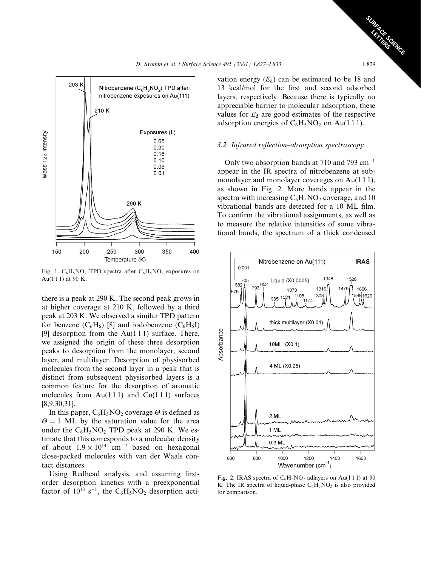

Fig. 1.  $C_6H_5NO_2$  TPD spectra after  $C_6H_5NO_2$  exposures on Au(111) at 90 K.

there is a peak at 290 K. The second peak grows in at higher coverage at 210 K, followed by a third peak at 203 K. We observed a similar TPD pattern for benzene  $(C_6H_6)$  [8] and iodobenzene  $(C_6H_5I)$ [9] desorption from the  $Au(111)$  surface. There, we assigned the origin of these three desorption peaks to desorption from the monolayer, second layer, and multilayer. Desorption of physisorbed molecules from the second layer in a peak that is distinct from subsequent physisorbed layers is a common feature for the desorption of aromatic molecules from Au(111) and Cu(111) surfaces  $[8,9,30,31]$ .

In this paper,  $C_6H_5NO_2$  coverage  $\Theta$  is defined as  $\Theta = 1$  ML by the saturation value for the area under the  $C_6H_5NO_2$  TPD peak at 290 K. We estimate that this corresponds to a molecular density of about  $1.9 \times 10^{14}$  cm<sup>-2</sup> based on hexagonal close-packed molecules with van der Waals contact distances.

Using Redhead analysis, and assuming firstorder desorption kinetics with a preexponential factor of  $10^{13}$  s<sup>-1</sup>, the C<sub>6</sub>H<sub>5</sub>NO<sub>2</sub> desorption acti-

vation energy  $(E_d)$  can be estimated to be 18 and 13 kcal/mol for the first and second adsorbed layers, respectively. Because there is typically no appreciable barrier to molecular adsorption, these values for  $E_d$  are good estimates of the respective adsorption energies of  $C_6H_5NO_2$  on Au(111).

### 3.2. Infrared reflection-absorption spectroscopy

Only two absorption bands at 710 and 793  $cm^{-1}$ appear in the IR spectra of nitrobenzene at submonolayer and monolayer coverages on Au(111), as shown in Fig. 2. More bands appear in the spectra with increasing  $C_6H_5NO_2$  coverage, and 10 vibrational bands are detected for a 10 ML film. To confirm the vibrational assignments, as well as to measure the relative intensities of some vibrational bands, the spectrum of a thick condensed



Fig. 2. IRAS spectra of  $C_6H_5NO_2$  adlayers on Au(111) at 90 K. The IR spectra of liquid-phase  $C_6H_5NO_2$  is also provided for comparison.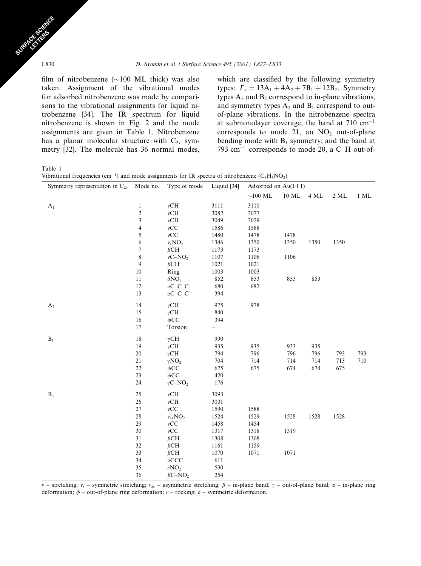film of nitrobenzene ( $\sim$ 100 ML thick) was also taken. Assignment of the vibrational modes for adsorbed nitrobenzene was made by comparisons to the vibrational assignments for liquid nitrobenzene [34]. The IR spectrum for liquid nitrobenzene is shown in Fig. 2 and the mode assignments are given in Table 1. Nitrobenzene has a planar molecular structure with  $C_{2v}$  symmetry [32]. The molecule has 36 normal modes,

which are classified by the following symmetry types:  $\Gamma_v = 13A_1 + 4A_2 + 7B_1 + 12B_2$ . Symmetry types  $A_1$  and  $B_2$  correspond to in-plane vibrations, and symmetry types  $A_2$  and  $B_1$  correspond to outof-plane vibrations. In the nitrobenzene spectra at submonolayer coverage, the band at  $710 \text{ cm}^{-1}$ corresponds to mode 21, an  $NO<sub>2</sub>$  out-of-plane bending mode with  $B_1$  symmetry, and the band at 793 cm<sup>-1</sup> corresponds to mode 20, a C-H out-of-

Table 1

|  |  |  |  | Vibrational frequencies (cm <sup>-1</sup> ) and mode assignments for IR spectra of nitrobenzene ( $C_6H_5NO_2$ ) |  |
|--|--|--|--|------------------------------------------------------------------------------------------------------------------|--|
|--|--|--|--|------------------------------------------------------------------------------------------------------------------|--|

| Symmetry representation in $C_{2v}$ Mode no. |                         | Type of mode                   | Liquid [34]              | Adsorbed on Au(111)   |       |      |                  |        |
|----------------------------------------------|-------------------------|--------------------------------|--------------------------|-----------------------|-------|------|------------------|--------|
|                                              |                         |                                |                          | ${\sim}100~\text{ML}$ | 10 ML | 4 ML | $2\ \mathrm{ML}$ | $1$ ML |
| A <sub>1</sub>                               | $\mathbf{1}$            | vCH                            | 3111                     | 3110                  |       |      |                  |        |
|                                              | $\overline{c}$          | $\nu{\rm CH}$                  | 3082                     | 3077                  |       |      |                  |        |
|                                              | 3                       | $\nu{\rm CH}$                  | 3049                     | 3029                  |       |      |                  |        |
|                                              | $\overline{\mathbf{4}}$ | $vCC$                          | 1586                     | 1588                  |       |      |                  |        |
|                                              | 5                       | $\nu CC$                       | 1480                     | 1478                  | 1478  |      |                  |        |
|                                              | 6                       | $v_sNO_2$                      | 1346                     | 1350                  | 1350  | 1350 | 1350             |        |
|                                              | $\boldsymbol{7}$        | $\beta$ CH                     | 1173                     | 1173                  |       |      |                  |        |
|                                              | $\,$ $\,$               | $vC-NO2$                       | 1107                     | 1106                  | 1106  |      |                  |        |
|                                              | $\boldsymbol{9}$        | $\beta$ CH                     | 1021                     | 1021                  |       |      |                  |        |
|                                              | $10\,$                  | Ring                           | 1003                     | 1003                  |       |      |                  |        |
|                                              | 11                      | $\delta NO_2$                  | 852                      | 853                   | 853   | 853  |                  |        |
|                                              | 12                      | $\alpha$ C-C-C                 | 680                      | 682                   |       |      |                  |        |
|                                              | 13                      | $\alpha C\!\!-\!\!C\!\!-\!\!C$ | 394                      |                       |       |      |                  |        |
| $A_2$                                        | 14                      | $\gamma$ CH                    | 975                      | 978                   |       |      |                  |        |
|                                              | 15                      | $\gamma$ CH                    | 840                      |                       |       |      |                  |        |
|                                              | $16\,$                  | $\phi$ CC                      | 394                      |                       |       |      |                  |        |
|                                              | 17                      | Torsion                        | $\overline{\phantom{0}}$ |                       |       |      |                  |        |
| $\mathbf{B}_1$                               | 18                      | $\gamma$ CH                    | 990                      |                       |       |      |                  |        |
|                                              | 19                      | $\gamma$ CH                    | 935                      | 935                   | 933   | 935  |                  |        |
|                                              | 20                      | $\gamma$ CH                    | 794                      | 796                   | 796   | 796  | 793              | 793    |
|                                              | $21\,$                  | $\gamma NO_2$                  | 704                      | 714                   | 714   | 714  | 713              | 710    |
|                                              | 22                      | $\phi$ CC                      | 675                      | 675                   | 674   | 674  | 675              |        |
|                                              | 23                      | $\phi$ CC                      | 420                      |                       |       |      |                  |        |
|                                              | 24                      | $\gamma$ C-NO <sub>2</sub>     | 176                      |                       |       |      |                  |        |
| $\mathbf{B}_2$                               | $25\,$                  | $\nu{\rm CH}$                  | 3093                     |                       |       |      |                  |        |
|                                              | 26                      | $\nu{\rm CH}$                  | 3031                     |                       |       |      |                  |        |
|                                              | $27\,$                  | $vCC$                          | 1590                     | 1588                  |       |      |                  |        |
|                                              | $28\,$                  | $v_{\rm as}\mathbf{NO}_2$      | 1524                     | 1529                  | 1528  | 1528 | 1528             |        |
|                                              | 29                      | $\nu CC$                       | 1458                     | 1454                  |       |      |                  |        |
|                                              | 30                      | vCC                            | 1317                     | 1318                  | 1319  |      |                  |        |
|                                              | $31\,$                  | $\beta$ CH                     | 1308                     | 1308                  |       |      |                  |        |
|                                              | 32                      | $\beta$ CH                     | 1161                     | 1159                  |       |      |                  |        |
|                                              | 33                      | $\beta$ CH                     | 1070                     | 1071                  | 1071  |      |                  |        |
|                                              | 34                      | $\alpha$ CCC                   | 611                      |                       |       |      |                  |        |
|                                              | 35                      | rNO <sub>2</sub>               | 530                      |                       |       |      |                  |        |
|                                              | 36                      | $\beta$ C-NO <sub>2</sub>      | 254                      |                       |       |      |                  |        |

v – stretching; v<sub>s</sub> – symmetric stretching; v<sub>as</sub> – asymmetric stretching;  $\beta$  – in-plane band;  $\gamma$  – out-of-plane band;  $\alpha$  – in-plane ring deformation;  $\phi$  – out-of-plane ring deformation; r – rocking;  $\delta$  – symmetric deformation.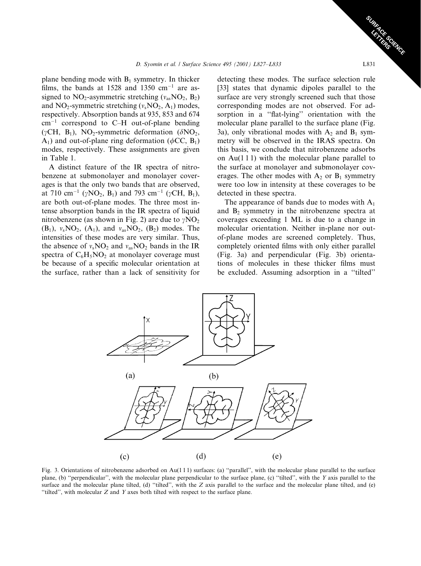plane bending mode with  $B_1$  symmetry. In thicker films, the bands at 1528 and 1350 cm<sup>-1</sup> are assigned to  $NO_2$ -asymmetric stretching ( $v_{as}NO_2$ ,  $B_2$ ) and NO<sub>2</sub>-symmetric stretching  $(v_sNO_2, A_1)$  modes, respectively. Absorption bands at 935, 853 and 674  $cm^{-1}$  correspond to C-H out-of-plane bending  $(\gamma CH, B_1)$ , NO<sub>2</sub>-symmetric deformation ( $\delta NO_2$ ,  $A_1$ ) and out-of-plane ring deformation ( $\phi$ CC,  $B_1$ ) modes, respectively. These assignments are given in Table 1.

A distinct feature of the IR spectra of nitrobenzene at submonolayer and monolayer coverages is that the only two bands that are observed, at 710 cm<sup>-1</sup> ( $\gamma$ NO<sub>2</sub>, B<sub>1</sub>) and 793 cm<sup>-1</sup> ( $\gamma$ CH, B<sub>1</sub>), are both out-of-plane modes. The three most intense absorption bands in the IR spectra of liquid nitrobenzene (as shown in Fig. 2) are due to  $\gamma NO_2$  $(B_1)$ ,  $v_sNO_2$ ,  $(A_1)$ , and  $v_{as}NO_2$ ,  $(B_2)$  modes. The intensities of these modes are very similar. Thus, the absence of  $v_s \text{NO}_2$  and  $v_{as} \text{NO}_2$  bands in the IR spectra of  $C_6H_5NO_2$  at monolayer coverage must be because of a specific molecular orientation at the surface, rather than a lack of sensitivity for

detecting these modes. The surface selection rule [33] states that dynamic dipoles parallel to the surface are very strongly screened such that those corresponding modes are not observed. For adsorption in a "flat-lying" orientation with the molecular plane parallel to the surface plane (Fig. 3a), only vibrational modes with  $A_2$  and  $B_1$  symmetry will be observed in the IRAS spectra. On this basis, we conclude that nitrobenzene adsorbs on  $Au(111)$  with the molecular plane parallel to the surface at monolayer and submonolayer coverages. The other modes with  $A_2$  or  $B_1$  symmetry were too low in intensity at these coverages to be detected in these spectra.

The appearance of bands due to modes with  $A_1$ and  $B_2$  symmetry in the nitrobenzene spectra at coverages exceeding 1 ML is due to a change in molecular orientation. Neither in-plane nor outof-plane modes are screened completely. Thus, completely oriented films with only either parallel (Fig. 3a) and perpendicular (Fig. 3b) orientations of molecules in these thicker films must be excluded. Assuming adsorption in a "tilted"



Fig. 3. Orientations of nitrobenzene adsorbed on Au(111) surfaces: (a) "parallel", with the molecular plane parallel to the surface plane, (b) "perpendicular", with the molecular plane perpendicular to the surface plane, (c) "tilted", with the Y axis parallel to the surface and the molecular plane tilted, (d) "tilted", with the  $Z$  axis parallel to the surface and the molecular plane tilted, and (e) "tilted", with molecular Z and Y axes both tilted with respect to the surface plane.

**SERGENCE**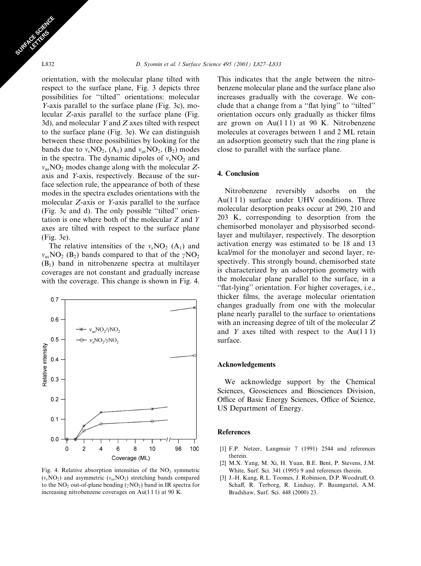orientation, with the molecular plane tilted with respect to the surface plane, Fig. 3 depicts three possibilities for "tilted" orientations: molecular *Y*-axis parallel to the surface plane (Fig. 3c), molecular Z-axis parallel to the surface plane (Fig. 3d), and molecular  $Y$  and  $Z$  axes tilted with respect to the surface plane (Fig. 3e). We can distinguish between these three possibilities by looking for the bands due to  $v_s \text{NO}_2$ , (A<sub>1</sub>) and  $v_{as} \text{NO}_2$ , (B<sub>2</sub>) modes in the spectra. The dynamic dipoles of  $v_sNO_2$  and  $v_{as}NO_2$  modes change along with the molecular Zaxis and Y-axis, respectively. Because of the surface selection rule, the appearance of both of these modes in the spectra excludes orientations with the molecular Z-axis or Y-axis parallel to the surface (Fig. 3c and d). The only possible "tilted" orientation is one where both of the molecular Z and Y axes are tilted with respect to the surface plane  $(Fig. 3e).$ 

The relative intensities of the  $v_sNO_2$  (A<sub>1</sub>) and  $v_{as}NO_2$  (B<sub>2</sub>) bands compared to that of the  $\gamma NO_2$  $(B<sub>1</sub>)$  band in nitrobenzene spectra at multilayer coverages are not constant and gradually increase with the coverage. This change is shown in Fig. 4.



Fig. 4. Relative absorption intensities of the  $NO<sub>2</sub>$  symmetric  $(v_sNO_2)$  and asymmetric  $(v_{as}NO_2)$  stretching bands compared to the NO<sub>2</sub> out-of-plane bending  $(\gamma NO_2)$  band in IR spectra for increasing nitrobenzene coverages on  $Au(111)$  at 90 K.

This indicates that the angle between the nitrobenzene molecular plane and the surface plane also increases gradually with the coverage. We conclude that a change from a "flat lying" to "tilted" orientation occurs only gradually as thicker films are grown on  $Au(111)$  at 90 K. Nitrobenzene molecules at coverages between 1 and 2 ML retain an adsorption geometry such that the ring plane is close to parallel with the surface plane.

## 4. Conclusion

Nitrobenzene reversibly adsorbs on the Au(111) surface under UHV conditions. Three molecular desorption peaks occur at 290, 210 and 203 K, corresponding to desorption from the chemisorbed monolayer and physisorbed secondlayer and multilayer, respectively. The desorption activation energy was estimated to be 18 and 13 kcal/mol for the monolayer and second layer, respectively. This strongly bound, chemisorbed state is characterized by an adsorption geometry with the molecular plane parallel to the surface, in a "flat-lying" orientation. For higher coverages, i.e., thicker films, the average molecular orientation changes gradually from one with the molecular plane nearly parallel to the surface to orientations with an increasing degree of tilt of the molecular Z and Y axes tilted with respect to the Au(111) surface.

#### **Acknowledgements**

We acknowledge support by the Chemical Sciences, Geosciences and Biosciences Division, Office of Basic Energy Sciences, Office of Science, US Department of Energy.

## **References**

- [1] F.P. Netzer, Langmuir 7 (1991) 2544 and references therein.
- [2] M.X. Yang, M. Xi, H. Yuan, B.E. Bent, P. Stevens, J.M. White, Surf. Sci. 341 (1995) 9 and references therein.
- [3] J.-H. Kang, R.L. Toomes, J. Robinson, D.P. Woodruff, O. Schaff, R. Terborg, R. Lindsay, P. Baumgartel, A.M. Bradshaw, Surf. Sci. 448 (2000) 23.